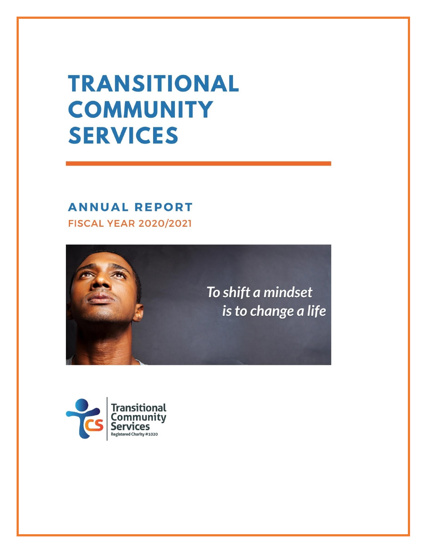# **TRANSITIONAL COMMUNITY SERVICES**

### **ANNUAL REPORT FISCAL YEAR 2020/2021**



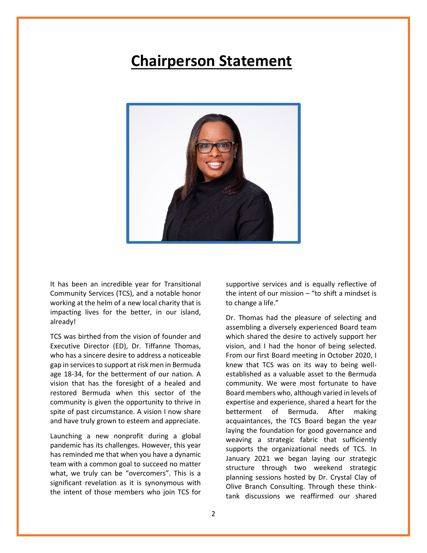### **Chairperson Statement**



It has been an incredible year for Transitional Community Services (TCS), and a notable honor working at the helm of a new local charity that is impacting lives for the better, in our island, already!

TCS was birthed from the vision of founder and Executive Director (ED), Dr. Tiffanne Thomas, who has a sincere desire to address a noticeable gap in servicesto support at risk men in Bermuda age 18-34, for the betterment of our nation. A vision that has the foresight of a healed and restored Bermuda when this sector of the community is given the opportunity to thrive in spite of past circumstance. A vision I now share and have truly grown to esteem and appreciate.

Launching a new nonprofit during a global pandemic has its challenges. However, this year has reminded me that when you have a dynamic team with a common goal to succeed no matter what, we truly can be "overcomers". This is a significant revelation as it is synonymous with the intent of those members who join TCS for

supportive services and is equally reflective of the intent of our mission  $-$  "to shift a mindset is to change a life."

Dr. Thomas had the pleasure of selecting and assembling a diversely experienced Board team which shared the desire to actively support her vision, and I had the honor of being selected. From our first Board meeting in October 2020, I knew that TCS was on its way to being wellestablished as a valuable asset to the Bermuda community. We were most fortunate to have Board members who, although varied in levels of expertise and experience, shared a heart for the betterment of Bermuda. After making acquaintances, the TCS Board began the year laying the foundation for good governance and weaving a strategic fabric that sufficiently supports the organizational needs of TCS. In January 2021 we began laying our strategic structure through two weekend strategic planning sessions hosted by Dr. Crystal Clay of Olive Branch Consulting. Through these thinktank discussions we reaffirmed our shared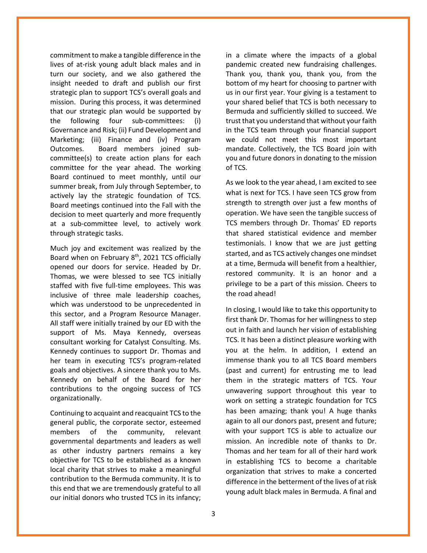commitment to make a tangible difference in the lives of at-risk young adult black males and in turn our society, and we also gathered the insight needed to draft and publish our first strategic plan to support TCS's overall goals and mission. During this process, it was determined that our strategic plan would be supported by the following four sub-committees: (i) Governance and Risk; (ii) Fund Development and Marketing; (iii) Finance and (iv) Program Outcomes. Board members joined subcommittee(s) to create action plans for each committee for the year ahead. The working Board continued to meet monthly, until our summer break, from July through September, to actively lay the strategic foundation of TCS. Board meetings continued into the Fall with the decision to meet quarterly and more frequently at a sub-committee level, to actively work through strategic tasks.

Much joy and excitement was realized by the Board when on February 8<sup>th</sup>, 2021 TCS officially opened our doors for service. Headed by Dr. Thomas, we were blessed to see TCS initially staffed with five full-time employees. This was inclusive of three male leadership coaches, which was understood to be unprecedented in this sector, and a Program Resource Manager. All staff were initially trained by our ED with the support of Ms. Maya Kennedy, overseas consultant working for Catalyst Consulting. Ms. Kennedy continues to support Dr. Thomas and her team in executing TCS's program-related goals and objectives. A sincere thank you to Ms. Kennedy on behalf of the Board for her contributions to the ongoing success of TCS organizationally.

Continuing to acquaint and reacquaint TCS to the general public, the corporate sector, esteemed members of the community, relevant governmental departments and leaders as well as other industry partners remains a key objective for TCS to be established as a known local charity that strives to make a meaningful contribution to the Bermuda community. It is to this end that we are tremendously grateful to all our initial donors who trusted TCS in its infancy;

in a climate where the impacts of a global pandemic created new fundraising challenges. Thank you, thank you, thank you, from the bottom of my heart for choosing to partner with us in our first year. Your giving is a testament to your shared belief that TCS is both necessary to Bermuda and sufficiently skilled to succeed. We trust that you understand that without your faith in the TCS team through your financial support we could not meet this most important mandate. Collectively, the TCS Board join with you and future donors in donating to the mission of TCS.

As we look to the year ahead, I am excited to see what is next for TCS. I have seen TCS grow from strength to strength over just a few months of operation. We have seen the tangible success of TCS members through Dr. Thomas' ED reports that shared statistical evidence and member testimonials. I know that we are just getting started, and as TCS actively changes one mindset at a time, Bermuda will benefit from a healthier, restored community. It is an honor and a privilege to be a part of this mission. Cheers to the road ahead!

In closing, I would like to take this opportunity to first thank Dr. Thomas for her willingness to step out in faith and launch her vision of establishing TCS. It has been a distinct pleasure working with you at the helm. In addition, I extend an immense thank you to all TCS Board members (past and current) for entrusting me to lead them in the strategic matters of TCS. Your unwavering support throughout this year to work on setting a strategic foundation for TCS has been amazing; thank you! A huge thanks again to all our donors past, present and future; with your support TCS is able to actualize our mission. An incredible note of thanks to Dr. Thomas and her team for all of their hard work in establishing TCS to become a charitable organization that strives to make a concerted difference in the betterment of the lives of at risk young adult black males in Bermuda. A final and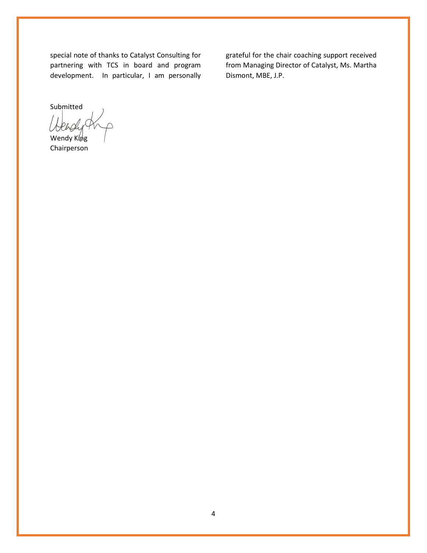special note of thanks to Catalyst Consulting for partnering with TCS in board and program development. In particular, I am personally

grateful for the chair coaching support received from Managing Director of Catalyst, Ms. Martha Dismont, MBE, J.P.

Submitted

Wendy King Chairperson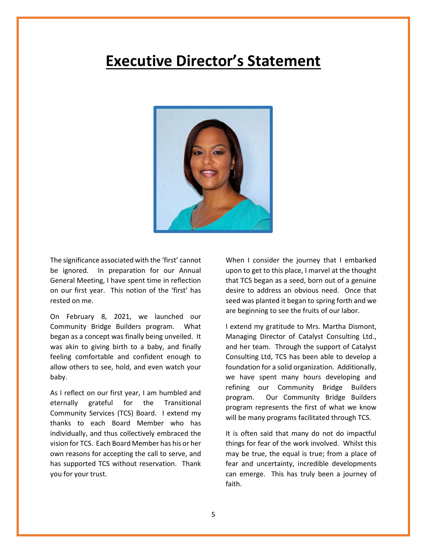### **Executive Director's Statement**



The significance associated with the 'first' cannot be ignored. In preparation for our Annual General Meeting, I have spent time in reflection on our first year. This notion of the 'first' has rested on me.

On February 8, 2021, we launched our Community Bridge Builders program. What began as a concept was finally being unveiled. It was akin to giving birth to a baby, and finally feeling comfortable and confident enough to allow others to see, hold, and even watch your baby.

As I reflect on our first year, I am humbled and eternally grateful for the Transitional Community Services (TCS) Board. I extend my thanks to each Board Member who has individually, and thus collectively embraced the vision for TCS. Each Board Member has his or her own reasons for accepting the call to serve, and has supported TCS without reservation. Thank you for your trust.

When I consider the journey that I embarked upon to get to this place, I marvel at the thought that TCS began as a seed, born out of a genuine desire to address an obvious need. Once that seed was planted it began to spring forth and we are beginning to see the fruits of our labor.

I extend my gratitude to Mrs. Martha Dismont, Managing Director of Catalyst Consulting Ltd., and her team. Through the support of Catalyst Consulting Ltd, TCS has been able to develop a foundation for a solid organization. Additionally, we have spent many hours developing and refining our Community Bridge Builders program. Our Community Bridge Builders program represents the first of what we know will be many programs facilitated through TCS.

It is often said that many do not do impactful things for fear of the work involved. Whilst this may be true, the equal is true; from a place of fear and uncertainty, incredible developments can emerge. This has truly been a journey of faith.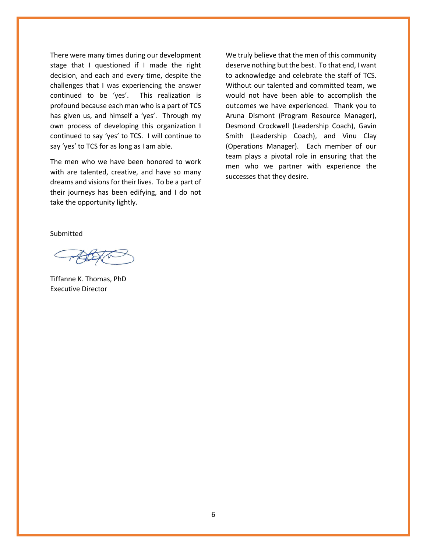There were many times during our development stage that I questioned if I made the right decision, and each and every time, despite the challenges that I was experiencing the answer continued to be 'yes'. This realization is profound because each man who is a part of TCS has given us, and himself a 'yes'. Through my own process of developing this organization I continued to say 'yes' to TCS. I will continue to say 'yes' to TCS for as long as I am able.

The men who we have been honored to work with are talented, creative, and have so many dreams and visions for their lives. To be a part of their journeys has been edifying, and I do not take the opportunity lightly.

We truly believe that the men of this community deserve nothing but the best. To that end, I want to acknowledge and celebrate the staff of TCS. Without our talented and committed team, we would not have been able to accomplish the outcomes we have experienced. Thank you to Aruna Dismont (Program Resource Manager), Desmond Crockwell (Leadership Coach), Gavin Smith (Leadership Coach), and Vinu Clay (Operations Manager). Each member of our team plays a pivotal role in ensuring that the men who we partner with experience the successes that they desire.

Submitted

Tiffanne K. Thomas, PhD Executive Director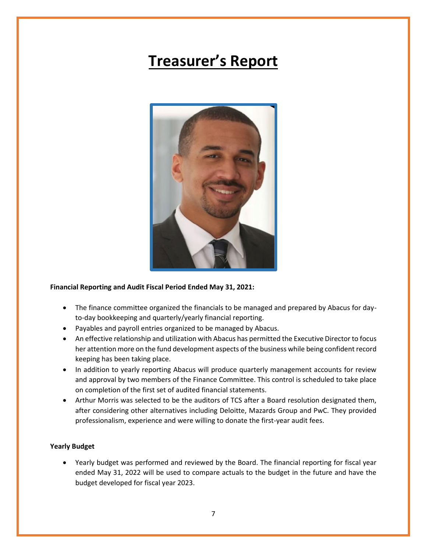# **Treasurer's Report**



#### **Financial Reporting and Audit Fiscal Period Ended May 31, 2021:**

- The finance committee organized the financials to be managed and prepared by Abacus for dayto-day bookkeeping and quarterly/yearly financial reporting.
- Payables and payroll entries organized to be managed by Abacus.
- An effective relationship and utilization with Abacus has permitted the Executive Director to focus her attention more on the fund development aspects of the business while being confident record keeping has been taking place.
- In addition to yearly reporting Abacus will produce quarterly management accounts for review and approval by two members of the Finance Committee. This control is scheduled to take place on completion of the first set of audited financial statements.
- Arthur Morris was selected to be the auditors of TCS after a Board resolution designated them, after considering other alternatives including Deloitte, Mazards Group and PwC. They provided professionalism, experience and were willing to donate the first-year audit fees.

#### **Yearly Budget**

• Yearly budget was performed and reviewed by the Board. The financial reporting for fiscal year ended May 31, 2022 will be used to compare actuals to the budget in the future and have the budget developed for fiscal year 2023.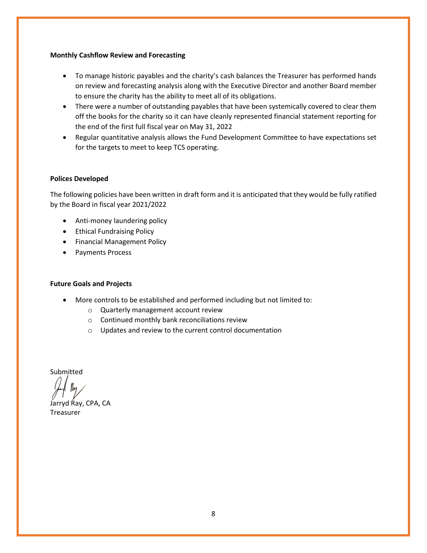#### **Monthly Cashflow Review and Forecasting**

- To manage historic payables and the charity's cash balances the Treasurer has performed hands on review and forecasting analysis along with the Executive Director and another Board member to ensure the charity has the ability to meet all of its obligations.
- There were a number of outstanding payables that have been systemically covered to clear them off the books for the charity so it can have cleanly represented financial statement reporting for the end of the first full fiscal year on May 31, 2022
- Regular quantitative analysis allows the Fund Development Committee to have expectations set for the targets to meet to keep TCS operating.

#### **Polices Developed**

The following policies have been written in draft form and it is anticipated that they would be fully ratified by the Board in fiscal year 2021/2022

- Anti-money laundering policy
- Ethical Fundraising Policy
- Financial Management Policy
- Payments Process

#### **Future Goals and Projects**

- More controls to be established and performed including but not limited to:
	- o Quarterly management account review
	- o Continued monthly bank reconciliations review
	- o Updates and review to the current control documentation

Submitted

Jarryd Ray, CPA, CA

Treasurer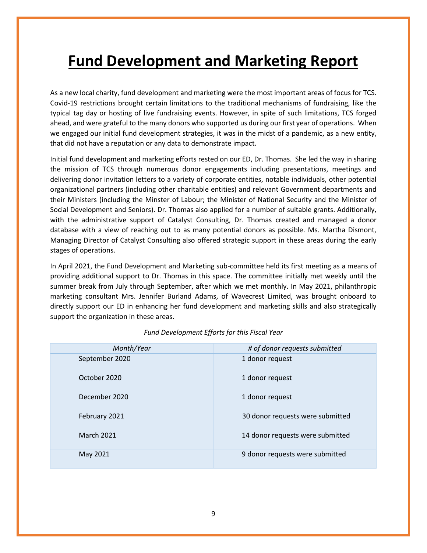# **Fund Development and Marketing Report**

As a new local charity, fund development and marketing were the most important areas of focus for TCS. Covid-19 restrictions brought certain limitations to the traditional mechanisms of fundraising, like the typical tag day or hosting of live fundraising events. However, in spite of such limitations, TCS forged ahead, and were grateful to the many donors who supported us during our first year of operations. When we engaged our initial fund development strategies, it was in the midst of a pandemic, as a new entity, that did not have a reputation or any data to demonstrate impact.

Initial fund development and marketing efforts rested on our ED, Dr. Thomas. She led the way in sharing the mission of TCS through numerous donor engagements including presentations, meetings and delivering donor invitation letters to a variety of corporate entities, notable individuals, other potential organizational partners (including other charitable entities) and relevant Government departments and their Ministers (including the Minster of Labour; the Minister of National Security and the Minister of Social Development and Seniors). Dr. Thomas also applied for a number of suitable grants. Additionally, with the administrative support of Catalyst Consulting, Dr. Thomas created and managed a donor database with a view of reaching out to as many potential donors as possible. Ms. Martha Dismont, Managing Director of Catalyst Consulting also offered strategic support in these areas during the early stages of operations.

In April 2021, the Fund Development and Marketing sub-committee held its first meeting as a means of providing additional support to Dr. Thomas in this space. The committee initially met weekly until the summer break from July through September, after which we met monthly. In May 2021, philanthropic marketing consultant Mrs. Jennifer Burland Adams, of Wavecrest Limited, was brought onboard to directly support our ED in enhancing her fund development and marketing skills and also strategically support the organization in these areas.

| Month/Year        | # of donor requests submitted    |  |  |
|-------------------|----------------------------------|--|--|
| September 2020    | 1 donor request                  |  |  |
| October 2020      | 1 donor request                  |  |  |
| December 2020     | 1 donor request                  |  |  |
| February 2021     | 30 donor requests were submitted |  |  |
| <b>March 2021</b> | 14 donor requests were submitted |  |  |
| May 2021          | 9 donor requests were submitted  |  |  |

#### *Fund Development Efforts for this Fiscal Year*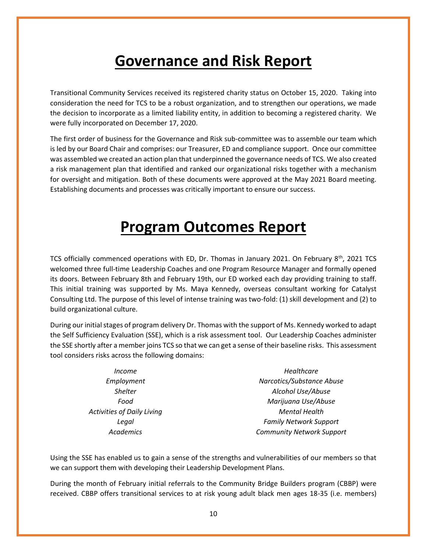# **Governance and Risk Report**

Transitional Community Services received its registered charity status on October 15, 2020. Taking into consideration the need for TCS to be a robust organization, and to strengthen our operations, we made the decision to incorporate as a limited liability entity, in addition to becoming a registered charity. We were fully incorporated on December 17, 2020.

The first order of business for the Governance and Risk sub-committee was to assemble our team which is led by our Board Chair and comprises: our Treasurer, ED and compliance support. Once our committee was assembled we created an action plan that underpinned the governance needs of TCS. We also created a risk management plan that identified and ranked our organizational risks together with a mechanism for oversight and mitigation. Both of these documents were approved at the May 2021 Board meeting. Establishing documents and processes was critically important to ensure our success.

### **Program Outcomes Report**

TCS officially commenced operations with ED, Dr. Thomas in January 2021. On February  $8<sup>th</sup>$ , 2021 TCS welcomed three full-time Leadership Coaches and one Program Resource Manager and formally opened its doors. Between February 8th and February 19th, our ED worked each day providing training to staff. This initial training was supported by Ms. Maya Kennedy, overseas consultant working for Catalyst Consulting Ltd. The purpose of this level of intense training was two-fold: (1) skill development and (2) to build organizational culture.

During our initial stages of program delivery Dr. Thomas with the support of Ms. Kennedy worked to adapt the Self Sufficiency Evaluation (SSE), which is a risk assessment tool. Our Leadership Coaches administer the SSE shortly after a member joins TCS so that we can get a sense of their baseline risks. This assessment tool considers risks across the following domains:

| <i>Income</i>                     | Healthcare                       |  |  |  |
|-----------------------------------|----------------------------------|--|--|--|
| Employment                        | Narcotics/Substance Abuse        |  |  |  |
| <b>Shelter</b>                    | Alcohol Use/Abuse                |  |  |  |
| Food                              | Marijuana Use/Abuse              |  |  |  |
| <b>Activities of Daily Living</b> | <b>Mental Health</b>             |  |  |  |
| Legal                             | <b>Family Network Support</b>    |  |  |  |
| <b>Academics</b>                  | <b>Community Network Support</b> |  |  |  |

Using the SSE has enabled us to gain a sense of the strengths and vulnerabilities of our members so that we can support them with developing their Leadership Development Plans.

During the month of February initial referrals to the Community Bridge Builders program (CBBP) were received. CBBP offers transitional services to at risk young adult black men ages 18-35 (i.e. members)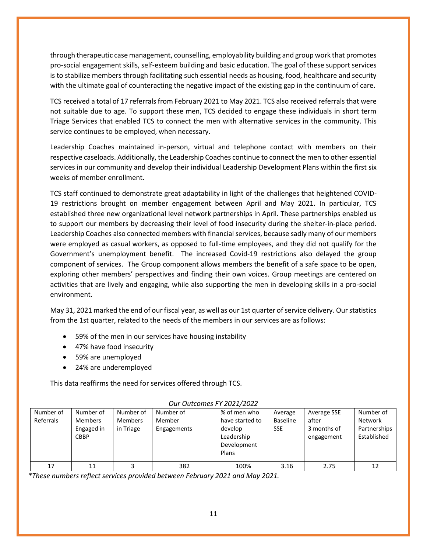through therapeutic case management, counselling, employability building and group work that promotes pro-social engagement skills, self-esteem building and basic education. The goal of these support services is to stabilize members through facilitating such essential needs as housing, food, healthcare and security with the ultimate goal of counteracting the negative impact of the existing gap in the continuum of care.

TCS received a total of 17 referrals from February 2021 to May 2021. TCS also received referrals that were not suitable due to age. To support these men, TCS decided to engage these individuals in short term Triage Services that enabled TCS to connect the men with alternative services in the community. This service continues to be employed, when necessary.

Leadership Coaches maintained in-person, virtual and telephone contact with members on their respective caseloads. Additionally, the Leadership Coaches continue to connect the men to other essential services in our community and develop their individual Leadership Development Plans within the first six weeks of member enrollment.

TCS staff continued to demonstrate great adaptability in light of the challenges that heightened COVID-19 restrictions brought on member engagement between April and May 2021. In particular, TCS established three new organizational level network partnerships in April. These partnerships enabled us to support our members by decreasing their level of food insecurity during the shelter-in-place period. Leadership Coaches also connected members with financial services, because sadly many of our members were employed as casual workers, as opposed to full-time employees, and they did not qualify for the Government's unemployment benefit. The increased Covid-19 restrictions also delayed the group component of services. The Group component allows members the benefit of a safe space to be open, exploring other members' perspectives and finding their own voices. Group meetings are centered on activities that are lively and engaging, while also supporting the men in developing skills in a pro-social environment.

May 31, 2021 marked the end of our fiscal year, as well as our 1st quarter of service delivery. Our statistics from the 1st quarter, related to the needs of the members in our services are as follows:

- 59% of the men in our services have housing instability
- 47% have food insecurity
- 59% are unemployed
- 24% are underemployed

This data reaffirms the need for services offered through TCS.

| <u>UU UULUMILI LEULILULL</u> |                |                |             |                 |                 |             |              |  |  |
|------------------------------|----------------|----------------|-------------|-----------------|-----------------|-------------|--------------|--|--|
| Number of                    | Number of      | Number of      | Number of   | % of men who    | Average         | Average SSE | Number of    |  |  |
| Referrals                    | <b>Members</b> | <b>Members</b> | Member      | have started to | <b>Baseline</b> | after       | Network      |  |  |
|                              | Engaged in     | in Triage      | Engagements | develop         | <b>SSE</b>      | 3 months of | Partnerships |  |  |
|                              | <b>CBBP</b>    |                |             | Leadership      |                 | engagement  | Established  |  |  |
|                              |                |                |             | Development     |                 |             |              |  |  |
|                              |                |                |             | Plans           |                 |             |              |  |  |
| 17                           | 11             |                | 382         | 100%            | 3.16            | 2.75        | 12           |  |  |
|                              |                |                |             |                 |                 |             |              |  |  |

#### *Our Outcomes FY 2021/2022*

*\*These numbers reflect services provided between February 2021 and May 2021.*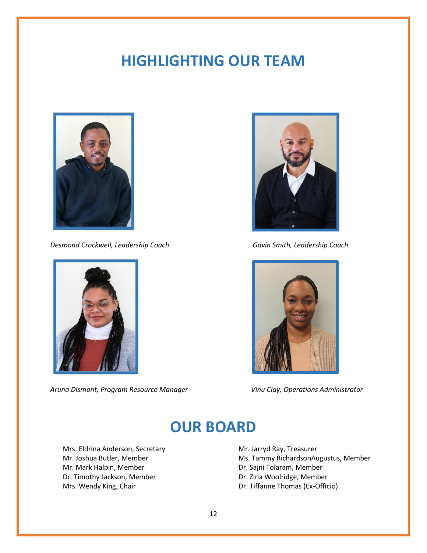## **HIGHLIGHTING OUR TEAM**



*Desmond Crockwell, Leadership Coach Gavin Smith, Leadership Coach* 



*Aruna Dismont, Program Resource Manager Vinu Clay, Operations Administrator*





### **OUR BOARD**

Mrs. Eldrina Anderson, Secretary Mr. Joshua Butler, Member Mr. Mark Halpin, Member Dr. Timothy Jackson, Member Mrs. Wendy King, Chair

Mr. Jarryd Ray, Treasurer Ms. Tammy RichardsonAugustus, Member Dr. Sajni Tolaram, Member Dr. Zina Woolridge, Member Dr. Tiffanne Thomas (Ex-Officio)